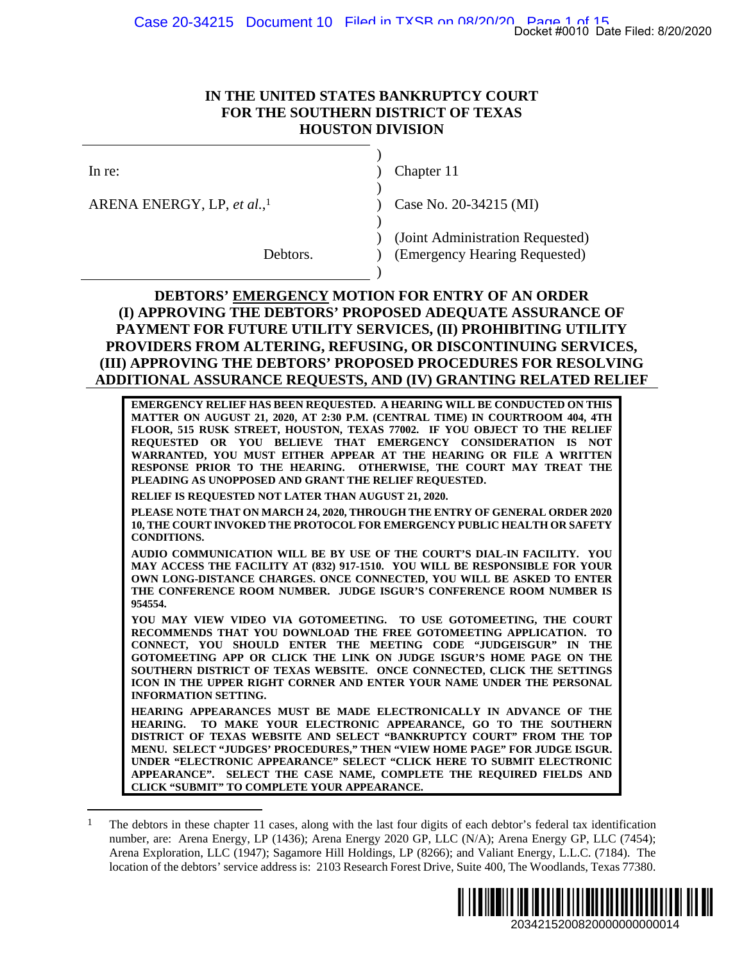## **IN THE UNITED STATES BANKRUPTCY COURT FOR THE SOUTHERN DISTRICT OF TEXAS HOUSTON DIVISION**

ARENA ENERGY, LP, *et al.*,

**954554.** 

 $\overline{a}$ 

 $)$ 

 $)$ 

 $)$ 

 $)$ 

Chapter 11

Case No. 20-34215 (MI)

 ) (Joint Administration Requested) Debtors. **(Emergency Hearing Requested)** 

## **DEBTORS' EMERGENCY MOTION FOR ENTRY OF AN ORDER (I) APPROVING THE DEBTORS' PROPOSED ADEQUATE ASSURANCE OF PAYMENT FOR FUTURE UTILITY SERVICES, (II) PROHIBITING UTILITY PROVIDERS FROM ALTERING, REFUSING, OR DISCONTINUING SERVICES, (III) APPROVING THE DEBTORS' PROPOSED PROCEDURES FOR RESOLVING ADDITIONAL ASSURANCE REQUESTS, AND (IV) GRANTING RELATED RELIEF**

**EMERGENCY RELIEF HAS BEEN REQUESTED. A HEARING WILL BE CONDUCTED ON THIS MATTER ON AUGUST 21, 2020, AT 2:30 P.M. (CENTRAL TIME) IN COURTROOM 404, 4TH FLOOR, 515 RUSK STREET, HOUSTON, TEXAS 77002. IF YOU OBJECT TO THE RELIEF REQUESTED OR YOU BELIEVE THAT EMERGENCY CONSIDERATION IS NOT WARRANTED, YOU MUST EITHER APPEAR AT THE HEARING OR FILE A WRITTEN RESPONSE PRIOR TO THE HEARING. OTHERWISE, THE COURT MAY TREAT THE PLEADING AS UNOPPOSED AND GRANT THE RELIEF REQUESTED. RELIEF IS REQUESTED NOT LATER THAN AUGUST 21, 2020. PLEASE NOTE THAT ON MARCH 24, 2020, THROUGH THE ENTRY OF GENERAL ORDER 2020 10, THE COURT INVOKED THE PROTOCOL FOR EMERGENCY PUBLIC HEALTH OR SAFETY CONDITIONS. AUDIO COMMUNICATION WILL BE BY USE OF THE COURT'S DIAL-IN FACILITY. YOU MAY ACCESS THE FACILITY AT (832) 917-1510. YOU WILL BE RESPONSIBLE FOR YOUR OWN LONG-DISTANCE CHARGES. ONCE CONNECTED, YOU WILL BE ASKED TO ENTER THE CONFERENCE ROOM NUMBER. JUDGE ISGUR'S CONFERENCE ROOM NUMBER IS**  2034215200820000000000014 Docket #0010 Date Filed: 8/20/2020

**YOU MAY VIEW VIDEO VIA GOTOMEETING. TO USE GOTOMEETING, THE COURT RECOMMENDS THAT YOU DOWNLOAD THE FREE GOTOMEETING APPLICATION. TO CONNECT, YOU SHOULD ENTER THE MEETING CODE "JUDGEISGUR" IN THE GOTOMEETING APP OR CLICK THE LINK ON JUDGE ISGUR'S HOME PAGE ON THE SOUTHERN DISTRICT OF TEXAS WEBSITE. ONCE CONNECTED, CLICK THE SETTINGS ICON IN THE UPPER RIGHT CORNER AND ENTER YOUR NAME UNDER THE PERSONAL INFORMATION SETTING.** 

**HEARING APPEARANCES MUST BE MADE ELECTRONICALLY IN ADVANCE OF THE HEARING. TO MAKE YOUR ELECTRONIC APPEARANCE, GO TO THE SOUTHERN DISTRICT OF TEXAS WEBSITE AND SELECT "BANKRUPTCY COURT" FROM THE TOP MENU. SELECT "JUDGES' PROCEDURES," THEN "VIEW HOME PAGE" FOR JUDGE ISGUR. UNDER "ELECTRONIC APPEARANCE" SELECT "CLICK HERE TO SUBMIT ELECTRONIC APPEARANCE". SELECT THE CASE NAME, COMPLETE THE REQUIRED FIELDS AND CLICK "SUBMIT" TO COMPLETE YOUR APPEARANCE.** 

<sup>&</sup>lt;sup>1</sup> The debtors in these chapter 11 cases, along with the last four digits of each debtor's federal tax identification number, are: Arena Energy, LP (1436); Arena Energy 2020 GP, LLC (N/A); Arena Energy GP, LLC (7454); Arena Exploration, LLC (1947); Sagamore Hill Holdings, LP (8266); and Valiant Energy, L.L.C. (7184). The location of the debtors' service address is: 2103 Research Forest Drive, Suite 400, The Woodlands, Texas 77380.

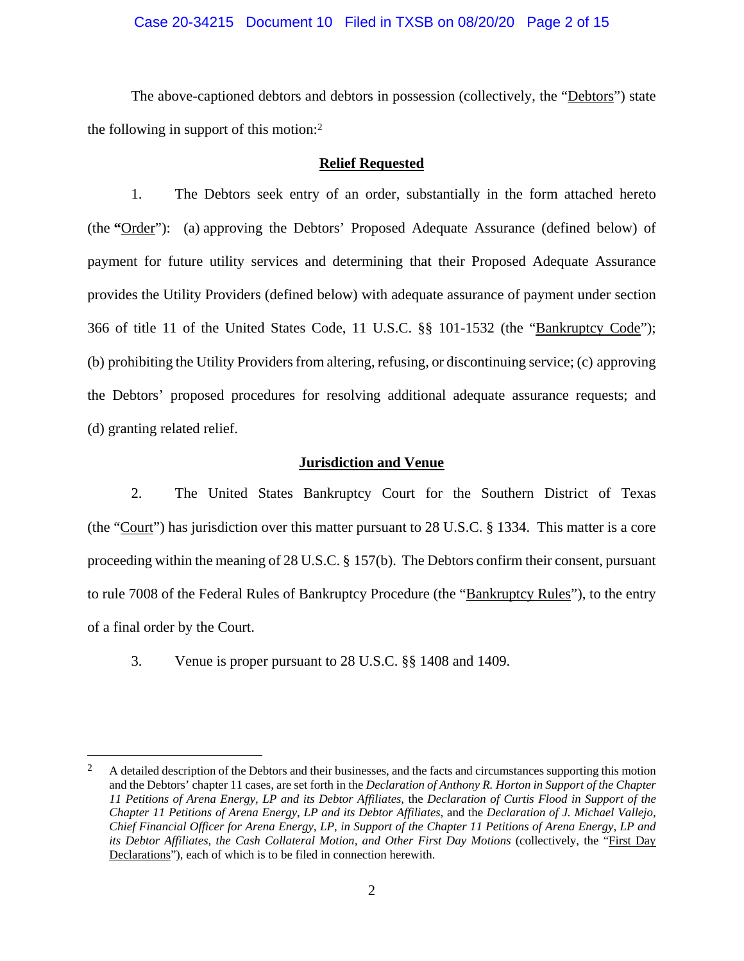#### Case 20-34215 Document 10 Filed in TXSB on 08/20/20 Page 2 of 15

The above-captioned debtors and debtors in possession (collectively, the "Debtors") state the following in support of this motion:2

#### **Relief Requested**

1. The Debtors seek entry of an order, substantially in the form attached hereto (the **"**Order"): (a) approving the Debtors' Proposed Adequate Assurance (defined below) of payment for future utility services and determining that their Proposed Adequate Assurance provides the Utility Providers (defined below) with adequate assurance of payment under section 366 of title 11 of the United States Code, 11 U.S.C. §§ 101-1532 (the "Bankruptcy Code"); (b) prohibiting the Utility Providers from altering, refusing, or discontinuing service; (c) approving the Debtors' proposed procedures for resolving additional adequate assurance requests; and (d) granting related relief.

#### **Jurisdiction and Venue**

2. The United States Bankruptcy Court for the Southern District of Texas (the "Court") has jurisdiction over this matter pursuant to 28 U.S.C. § 1334. This matter is a core proceeding within the meaning of 28 U.S.C. § 157(b). The Debtors confirm their consent, pursuant to rule 7008 of the Federal Rules of Bankruptcy Procedure (the "Bankruptcy Rules"), to the entry of a final order by the Court.

3. Venue is proper pursuant to 28 U.S.C. §§ 1408 and 1409.

 $\overline{a}$ 

<sup>&</sup>lt;sup>2</sup> A detailed description of the Debtors and their businesses, and the facts and circumstances supporting this motion and the Debtors' chapter 11 cases, are set forth in the *Declaration of Anthony R. Horton in Support of the Chapter 11 Petitions of Arena Energy, LP and its Debtor Affiliates*, the *Declaration of Curtis Flood in Support of the Chapter 11 Petitions of Arena Energy, LP and its Debtor Affiliates*, and the *Declaration of J. Michael Vallejo, Chief Financial Officer for Arena Energy, LP, in Support of the Chapter 11 Petitions of Arena Energy, LP and*  its Debtor Affiliates, the Cash Collateral Motion, and Other First Day Motions (collectively, the "First Day Declarations"), each of which is to be filed in connection herewith.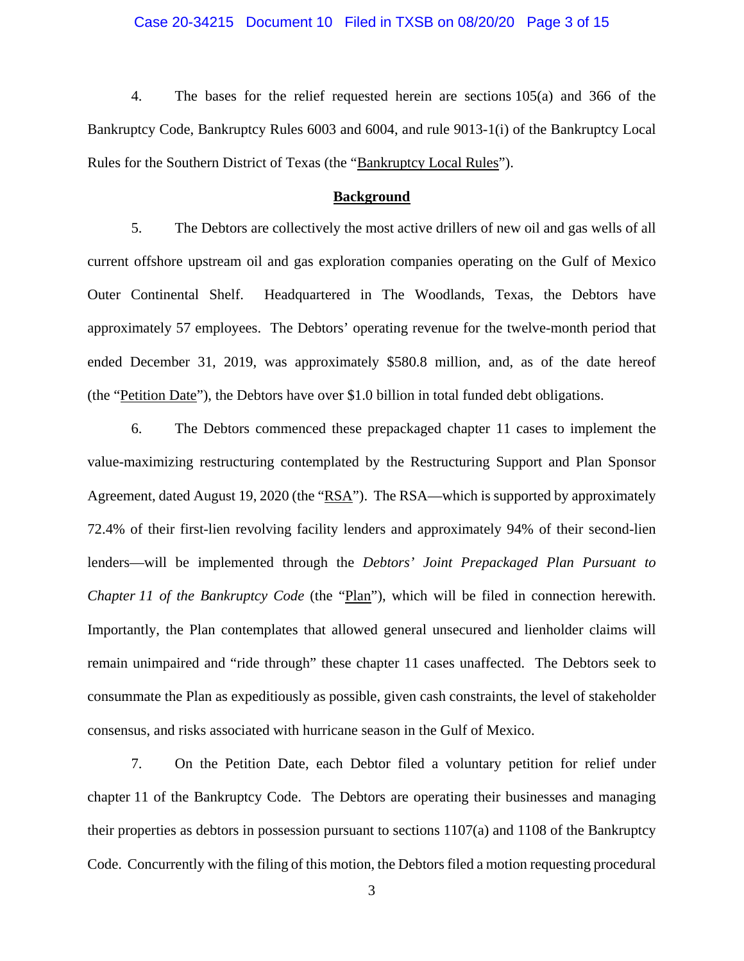#### Case 20-34215 Document 10 Filed in TXSB on 08/20/20 Page 3 of 15

4. The bases for the relief requested herein are sections 105(a) and 366 of the Bankruptcy Code, Bankruptcy Rules 6003 and 6004, and rule 9013-1(i) of the Bankruptcy Local Rules for the Southern District of Texas (the "Bankruptcy Local Rules").

#### **Background**

5. The Debtors are collectively the most active drillers of new oil and gas wells of all current offshore upstream oil and gas exploration companies operating on the Gulf of Mexico Outer Continental Shelf. Headquartered in The Woodlands, Texas, the Debtors have approximately 57 employees. The Debtors' operating revenue for the twelve-month period that ended December 31, 2019, was approximately \$580.8 million, and, as of the date hereof (the "Petition Date"), the Debtors have over \$1.0 billion in total funded debt obligations.

6. The Debtors commenced these prepackaged chapter 11 cases to implement the value-maximizing restructuring contemplated by the Restructuring Support and Plan Sponsor Agreement, dated August 19, 2020 (the "RSA"). The RSA—which is supported by approximately 72.4% of their first-lien revolving facility lenders and approximately 94% of their second-lien lenders—will be implemented through the *Debtors' Joint Prepackaged Plan Pursuant to Chapter 11 of the Bankruptcy Code* (the "Plan"), which will be filed in connection herewith. Importantly, the Plan contemplates that allowed general unsecured and lienholder claims will remain unimpaired and "ride through" these chapter 11 cases unaffected. The Debtors seek to consummate the Plan as expeditiously as possible, given cash constraints, the level of stakeholder consensus, and risks associated with hurricane season in the Gulf of Mexico.

7. On the Petition Date, each Debtor filed a voluntary petition for relief under chapter 11 of the Bankruptcy Code. The Debtors are operating their businesses and managing their properties as debtors in possession pursuant to sections 1107(a) and 1108 of the Bankruptcy Code. Concurrently with the filing of this motion, the Debtors filed a motion requesting procedural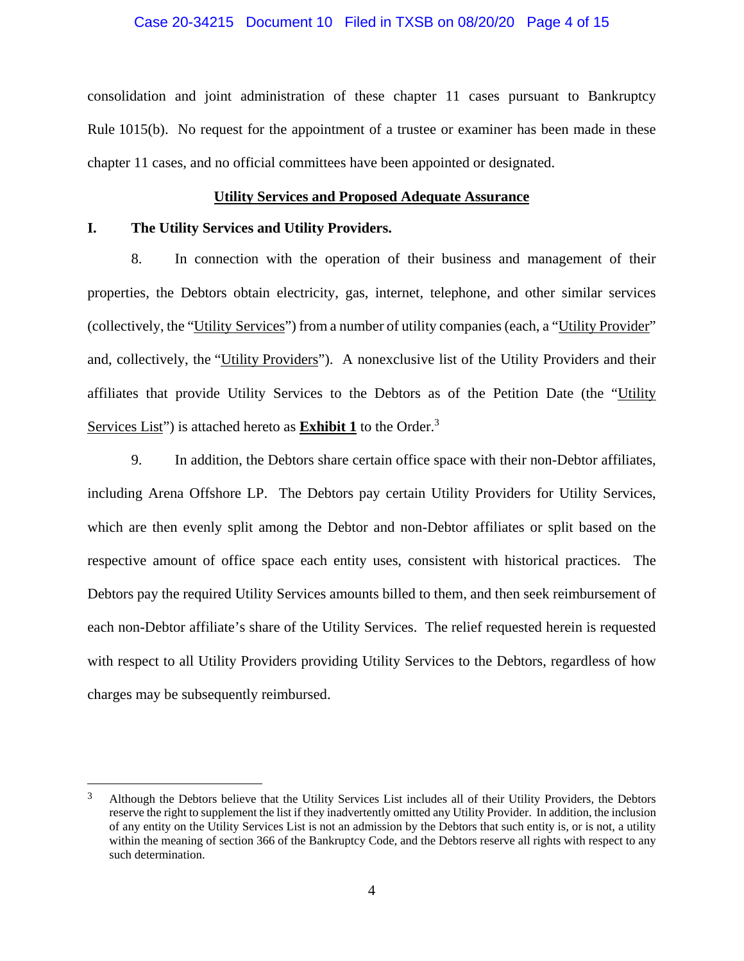#### Case 20-34215 Document 10 Filed in TXSB on 08/20/20 Page 4 of 15

consolidation and joint administration of these chapter 11 cases pursuant to Bankruptcy Rule 1015(b). No request for the appointment of a trustee or examiner has been made in these chapter 11 cases, and no official committees have been appointed or designated.

#### **Utility Services and Proposed Adequate Assurance**

#### **I. The Utility Services and Utility Providers.**

 $\overline{a}$ 

8. In connection with the operation of their business and management of their properties, the Debtors obtain electricity, gas, internet, telephone, and other similar services (collectively, the "Utility Services") from a number of utility companies (each, a "Utility Provider" and, collectively, the "Utility Providers"). A nonexclusive list of the Utility Providers and their affiliates that provide Utility Services to the Debtors as of the Petition Date (the "Utility Services List") is attached hereto as **Exhibit 1** to the Order.<sup>3</sup>

9. In addition, the Debtors share certain office space with their non-Debtor affiliates, including Arena Offshore LP. The Debtors pay certain Utility Providers for Utility Services, which are then evenly split among the Debtor and non-Debtor affiliates or split based on the respective amount of office space each entity uses, consistent with historical practices. The Debtors pay the required Utility Services amounts billed to them, and then seek reimbursement of each non-Debtor affiliate's share of the Utility Services. The relief requested herein is requested with respect to all Utility Providers providing Utility Services to the Debtors, regardless of how charges may be subsequently reimbursed.

<sup>&</sup>lt;sup>3</sup> Although the Debtors believe that the Utility Services List includes all of their Utility Providers, the Debtors reserve the right to supplement the list if they inadvertently omitted any Utility Provider. In addition, the inclusion of any entity on the Utility Services List is not an admission by the Debtors that such entity is, or is not, a utility within the meaning of section 366 of the Bankruptcy Code, and the Debtors reserve all rights with respect to any such determination.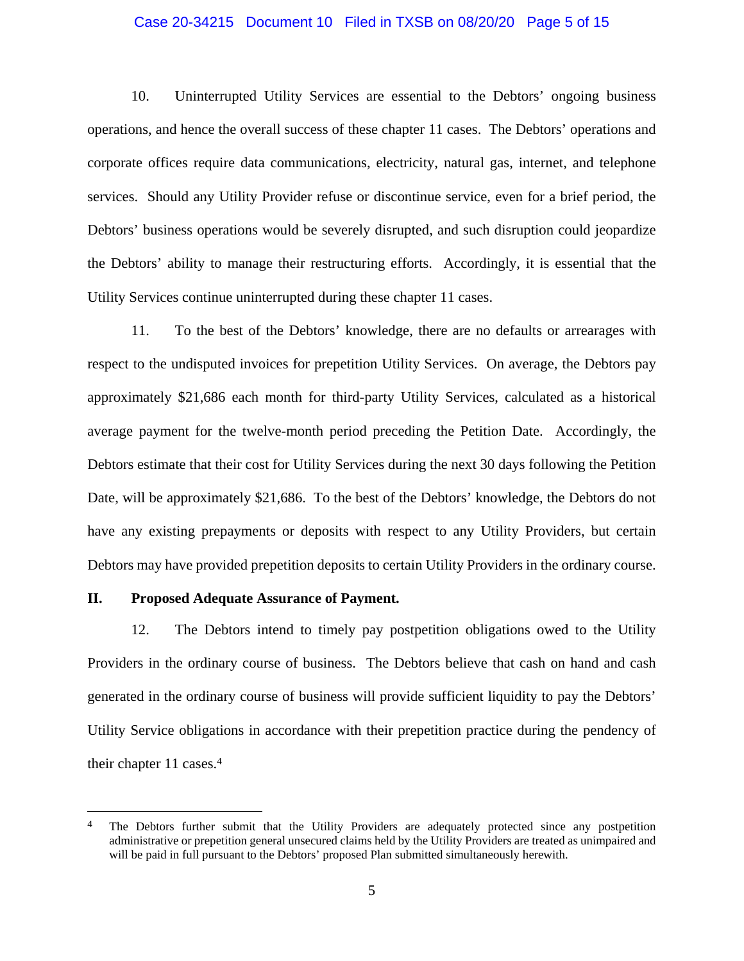#### Case 20-34215 Document 10 Filed in TXSB on 08/20/20 Page 5 of 15

10. Uninterrupted Utility Services are essential to the Debtors' ongoing business operations, and hence the overall success of these chapter 11 cases. The Debtors' operations and corporate offices require data communications, electricity, natural gas, internet, and telephone services. Should any Utility Provider refuse or discontinue service, even for a brief period, the Debtors' business operations would be severely disrupted, and such disruption could jeopardize the Debtors' ability to manage their restructuring efforts. Accordingly, it is essential that the Utility Services continue uninterrupted during these chapter 11 cases.

11. To the best of the Debtors' knowledge, there are no defaults or arrearages with respect to the undisputed invoices for prepetition Utility Services. On average, the Debtors pay approximately \$21,686 each month for third-party Utility Services, calculated as a historical average payment for the twelve-month period preceding the Petition Date. Accordingly, the Debtors estimate that their cost for Utility Services during the next 30 days following the Petition Date, will be approximately \$21,686. To the best of the Debtors' knowledge, the Debtors do not have any existing prepayments or deposits with respect to any Utility Providers, but certain Debtors may have provided prepetition deposits to certain Utility Providers in the ordinary course.

#### **II. Proposed Adequate Assurance of Payment.**

 $\overline{a}$ 

12. The Debtors intend to timely pay postpetition obligations owed to the Utility Providers in the ordinary course of business. The Debtors believe that cash on hand and cash generated in the ordinary course of business will provide sufficient liquidity to pay the Debtors' Utility Service obligations in accordance with their prepetition practice during the pendency of their chapter 11 cases.4

<sup>&</sup>lt;sup>4</sup> The Debtors further submit that the Utility Providers are adequately protected since any postpetition administrative or prepetition general unsecured claims held by the Utility Providers are treated as unimpaired and will be paid in full pursuant to the Debtors' proposed Plan submitted simultaneously herewith.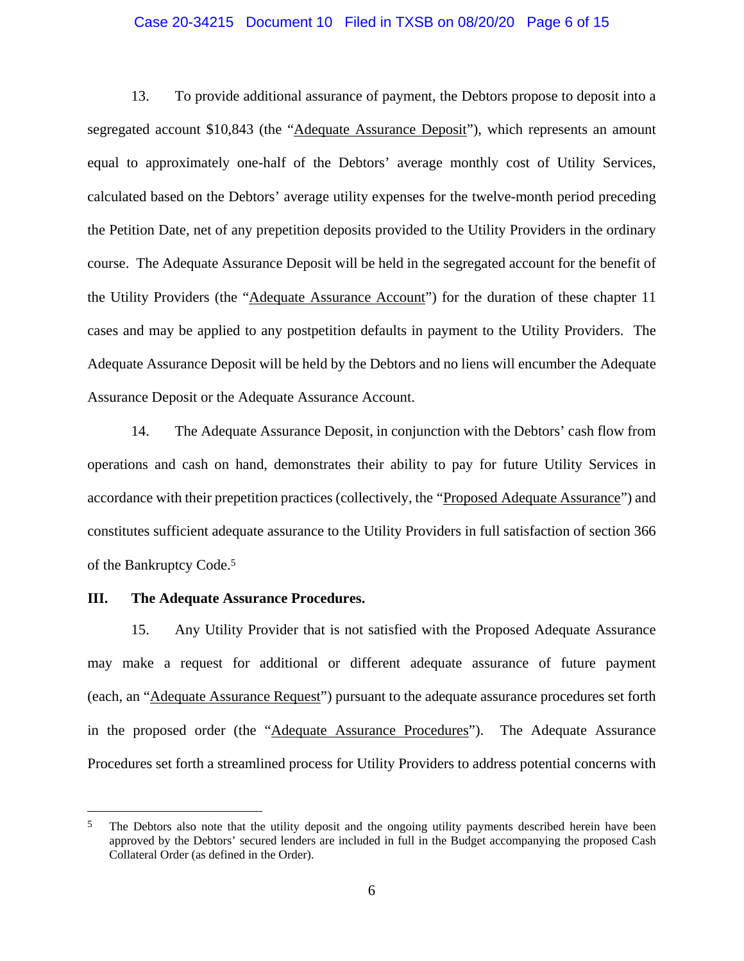#### Case 20-34215 Document 10 Filed in TXSB on 08/20/20 Page 6 of 15

13. To provide additional assurance of payment, the Debtors propose to deposit into a segregated account \$10,843 (the "Adequate Assurance Deposit"), which represents an amount equal to approximately one-half of the Debtors' average monthly cost of Utility Services, calculated based on the Debtors' average utility expenses for the twelve-month period preceding the Petition Date, net of any prepetition deposits provided to the Utility Providers in the ordinary course. The Adequate Assurance Deposit will be held in the segregated account for the benefit of the Utility Providers (the "Adequate Assurance Account") for the duration of these chapter 11 cases and may be applied to any postpetition defaults in payment to the Utility Providers. The Adequate Assurance Deposit will be held by the Debtors and no liens will encumber the Adequate Assurance Deposit or the Adequate Assurance Account.

14. The Adequate Assurance Deposit, in conjunction with the Debtors' cash flow from operations and cash on hand, demonstrates their ability to pay for future Utility Services in accordance with their prepetition practices (collectively, the "Proposed Adequate Assurance") and constitutes sufficient adequate assurance to the Utility Providers in full satisfaction of section 366 of the Bankruptcy Code.5

#### **III. The Adequate Assurance Procedures.**

 $\overline{a}$ 

15. Any Utility Provider that is not satisfied with the Proposed Adequate Assurance may make a request for additional or different adequate assurance of future payment (each, an "Adequate Assurance Request") pursuant to the adequate assurance procedures set forth in the proposed order (the "Adequate Assurance Procedures"). The Adequate Assurance Procedures set forth a streamlined process for Utility Providers to address potential concerns with

<sup>&</sup>lt;sup>5</sup> The Debtors also note that the utility deposit and the ongoing utility payments described herein have been approved by the Debtors' secured lenders are included in full in the Budget accompanying the proposed Cash Collateral Order (as defined in the Order).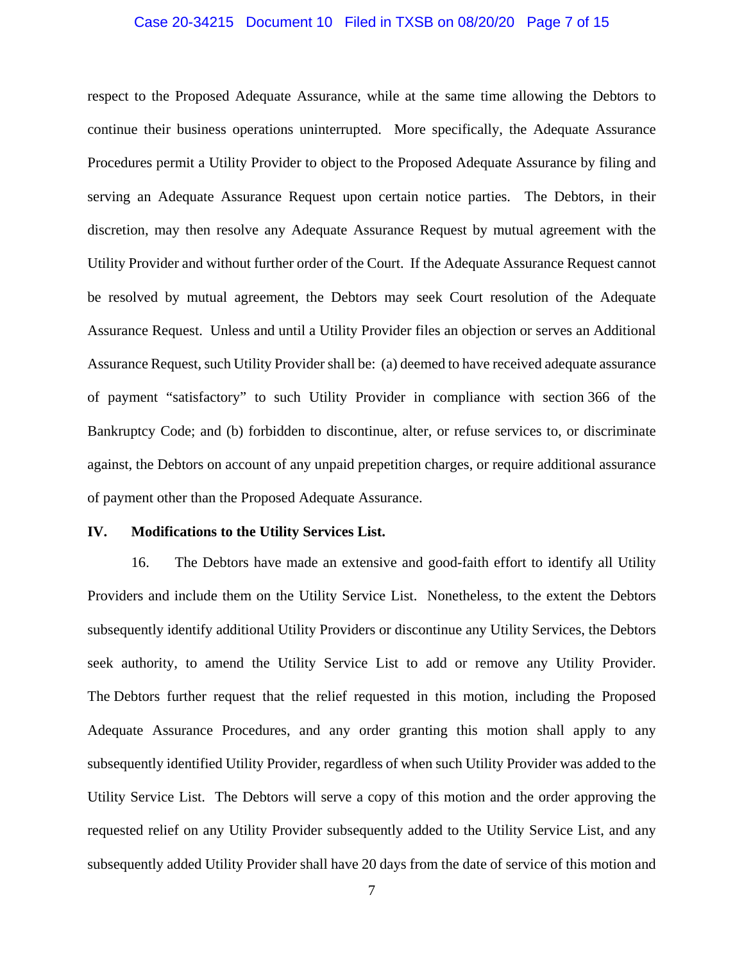#### Case 20-34215 Document 10 Filed in TXSB on 08/20/20 Page 7 of 15

respect to the Proposed Adequate Assurance, while at the same time allowing the Debtors to continue their business operations uninterrupted. More specifically, the Adequate Assurance Procedures permit a Utility Provider to object to the Proposed Adequate Assurance by filing and serving an Adequate Assurance Request upon certain notice parties. The Debtors, in their discretion, may then resolve any Adequate Assurance Request by mutual agreement with the Utility Provider and without further order of the Court. If the Adequate Assurance Request cannot be resolved by mutual agreement, the Debtors may seek Court resolution of the Adequate Assurance Request. Unless and until a Utility Provider files an objection or serves an Additional Assurance Request, such Utility Provider shall be: (a) deemed to have received adequate assurance of payment "satisfactory" to such Utility Provider in compliance with section 366 of the Bankruptcy Code; and (b) forbidden to discontinue, alter, or refuse services to, or discriminate against, the Debtors on account of any unpaid prepetition charges, or require additional assurance of payment other than the Proposed Adequate Assurance.

#### **IV. Modifications to the Utility Services List.**

16. The Debtors have made an extensive and good-faith effort to identify all Utility Providers and include them on the Utility Service List. Nonetheless, to the extent the Debtors subsequently identify additional Utility Providers or discontinue any Utility Services, the Debtors seek authority, to amend the Utility Service List to add or remove any Utility Provider. The Debtors further request that the relief requested in this motion, including the Proposed Adequate Assurance Procedures, and any order granting this motion shall apply to any subsequently identified Utility Provider, regardless of when such Utility Provider was added to the Utility Service List. The Debtors will serve a copy of this motion and the order approving the requested relief on any Utility Provider subsequently added to the Utility Service List, and any subsequently added Utility Provider shall have 20 days from the date of service of this motion and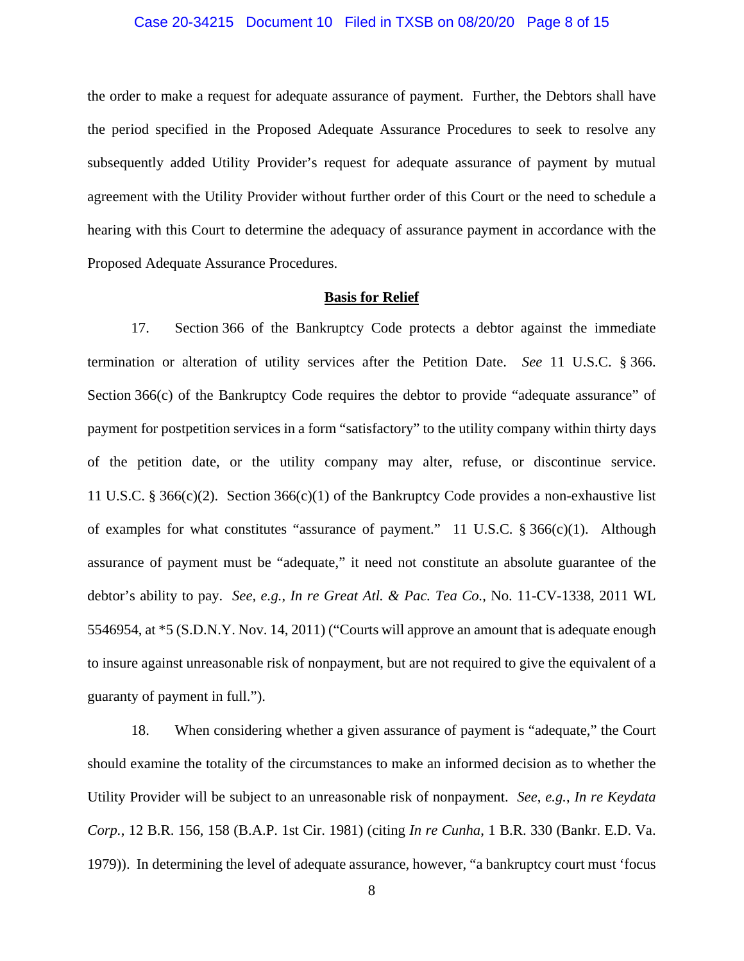#### Case 20-34215 Document 10 Filed in TXSB on 08/20/20 Page 8 of 15

the order to make a request for adequate assurance of payment. Further, the Debtors shall have the period specified in the Proposed Adequate Assurance Procedures to seek to resolve any subsequently added Utility Provider's request for adequate assurance of payment by mutual agreement with the Utility Provider without further order of this Court or the need to schedule a hearing with this Court to determine the adequacy of assurance payment in accordance with the Proposed Adequate Assurance Procedures.

#### **Basis for Relief**

17. Section 366 of the Bankruptcy Code protects a debtor against the immediate termination or alteration of utility services after the Petition Date. *See* 11 U.S.C. § 366. Section 366(c) of the Bankruptcy Code requires the debtor to provide "adequate assurance" of payment for postpetition services in a form "satisfactory" to the utility company within thirty days of the petition date, or the utility company may alter, refuse, or discontinue service. 11 U.S.C. § 366(c)(2). Section 366(c)(1) of the Bankruptcy Code provides a non-exhaustive list of examples for what constitutes "assurance of payment." 11 U.S.C.  $\S 366(c)(1)$ . Although assurance of payment must be "adequate," it need not constitute an absolute guarantee of the debtor's ability to pay. *See, e.g.*, *In re Great Atl. & Pac. Tea Co.*, No. 11-CV-1338, 2011 WL 5546954, at \*5 (S.D.N.Y. Nov. 14, 2011) ("Courts will approve an amount that is adequate enough to insure against unreasonable risk of nonpayment, but are not required to give the equivalent of a guaranty of payment in full.").

18. When considering whether a given assurance of payment is "adequate," the Court should examine the totality of the circumstances to make an informed decision as to whether the Utility Provider will be subject to an unreasonable risk of nonpayment. *See*, *e.g.*, *In re Keydata Corp.*, 12 B.R. 156, 158 (B.A.P. 1st Cir. 1981) (citing *In re Cunha*, 1 B.R. 330 (Bankr. E.D. Va. 1979)). In determining the level of adequate assurance, however, "a bankruptcy court must 'focus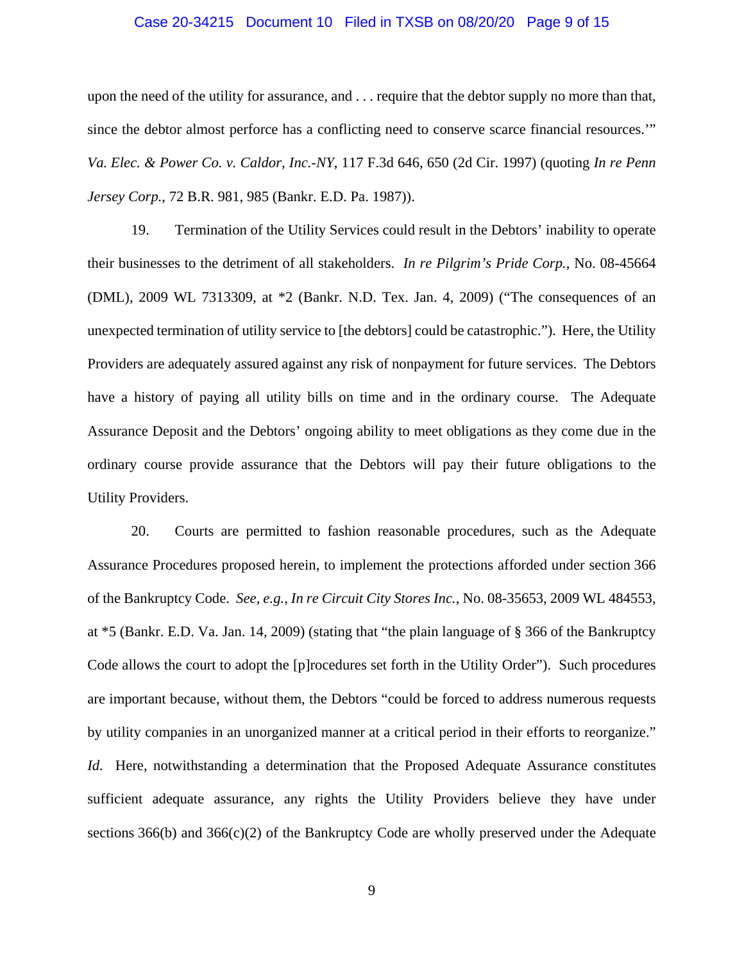#### Case 20-34215 Document 10 Filed in TXSB on 08/20/20 Page 9 of 15

upon the need of the utility for assurance, and . . . require that the debtor supply no more than that, since the debtor almost perforce has a conflicting need to conserve scarce financial resources.'" *Va. Elec. & Power Co. v. Caldor, Inc.-NY*, 117 F.3d 646, 650 (2d Cir. 1997) (quoting *In re Penn Jersey Corp.*, 72 B.R. 981, 985 (Bankr. E.D. Pa. 1987)).

19. Termination of the Utility Services could result in the Debtors' inability to operate their businesses to the detriment of all stakeholders. *In re Pilgrim's Pride Corp.*, No. 08-45664 (DML), 2009 WL 7313309, at \*2 (Bankr. N.D. Tex. Jan. 4, 2009) ("The consequences of an unexpected termination of utility service to [the debtors] could be catastrophic."). Here, the Utility Providers are adequately assured against any risk of nonpayment for future services. The Debtors have a history of paying all utility bills on time and in the ordinary course. The Adequate Assurance Deposit and the Debtors' ongoing ability to meet obligations as they come due in the ordinary course provide assurance that the Debtors will pay their future obligations to the Utility Providers.

20. Courts are permitted to fashion reasonable procedures, such as the Adequate Assurance Procedures proposed herein, to implement the protections afforded under section 366 of the Bankruptcy Code. *See, e.g.*, *In re Circuit City Stores Inc.*, No. 08-35653, 2009 WL 484553, at \*5 (Bankr. E.D. Va. Jan. 14, 2009) (stating that "the plain language of § 366 of the Bankruptcy Code allows the court to adopt the [p]rocedures set forth in the Utility Order"). Such procedures are important because, without them, the Debtors "could be forced to address numerous requests by utility companies in an unorganized manner at a critical period in their efforts to reorganize." *Id.* Here, notwithstanding a determination that the Proposed Adequate Assurance constitutes sufficient adequate assurance, any rights the Utility Providers believe they have under sections 366(b) and 366(c)(2) of the Bankruptcy Code are wholly preserved under the Adequate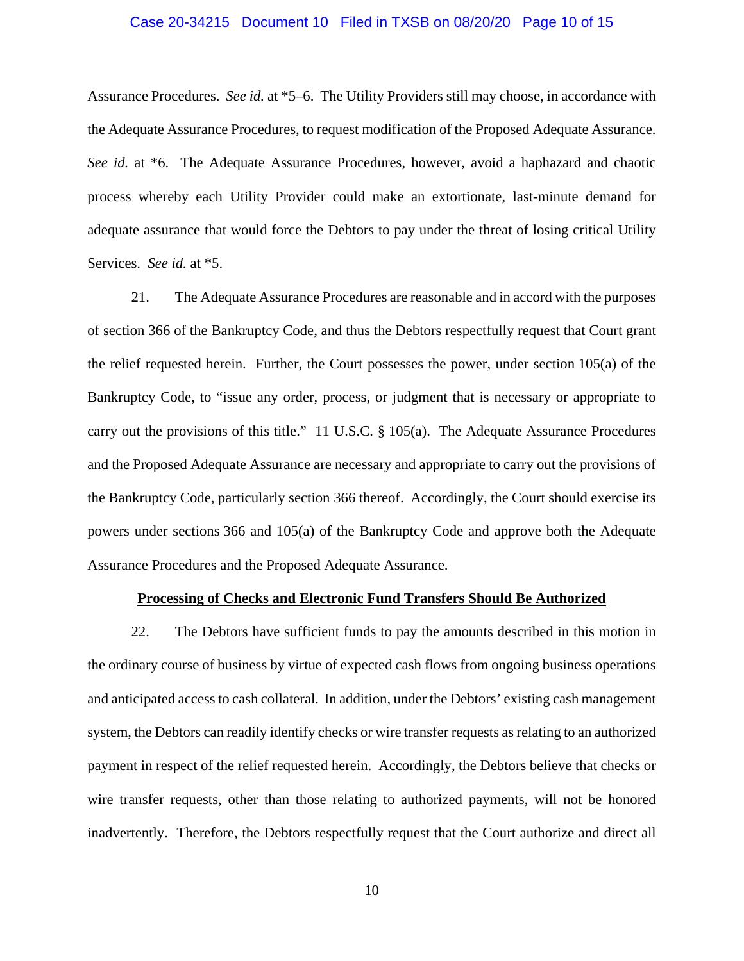#### Case 20-34215 Document 10 Filed in TXSB on 08/20/20 Page 10 of 15

Assurance Procedures. *See id.* at \*5–6. The Utility Providers still may choose, in accordance with the Adequate Assurance Procedures, to request modification of the Proposed Adequate Assurance. *See id.* at \*6. The Adequate Assurance Procedures, however, avoid a haphazard and chaotic process whereby each Utility Provider could make an extortionate, last-minute demand for adequate assurance that would force the Debtors to pay under the threat of losing critical Utility Services. *See id.* at \*5.

21. The Adequate Assurance Procedures are reasonable and in accord with the purposes of section 366 of the Bankruptcy Code, and thus the Debtors respectfully request that Court grant the relief requested herein. Further, the Court possesses the power, under section 105(a) of the Bankruptcy Code, to "issue any order, process, or judgment that is necessary or appropriate to carry out the provisions of this title." 11 U.S.C. § 105(a). The Adequate Assurance Procedures and the Proposed Adequate Assurance are necessary and appropriate to carry out the provisions of the Bankruptcy Code, particularly section 366 thereof. Accordingly, the Court should exercise its powers under sections 366 and 105(a) of the Bankruptcy Code and approve both the Adequate Assurance Procedures and the Proposed Adequate Assurance.

#### **Processing of Checks and Electronic Fund Transfers Should Be Authorized**

22. The Debtors have sufficient funds to pay the amounts described in this motion in the ordinary course of business by virtue of expected cash flows from ongoing business operations and anticipated access to cash collateral. In addition, under the Debtors' existing cash management system, the Debtors can readily identify checks or wire transfer requests as relating to an authorized payment in respect of the relief requested herein. Accordingly, the Debtors believe that checks or wire transfer requests, other than those relating to authorized payments, will not be honored inadvertently. Therefore, the Debtors respectfully request that the Court authorize and direct all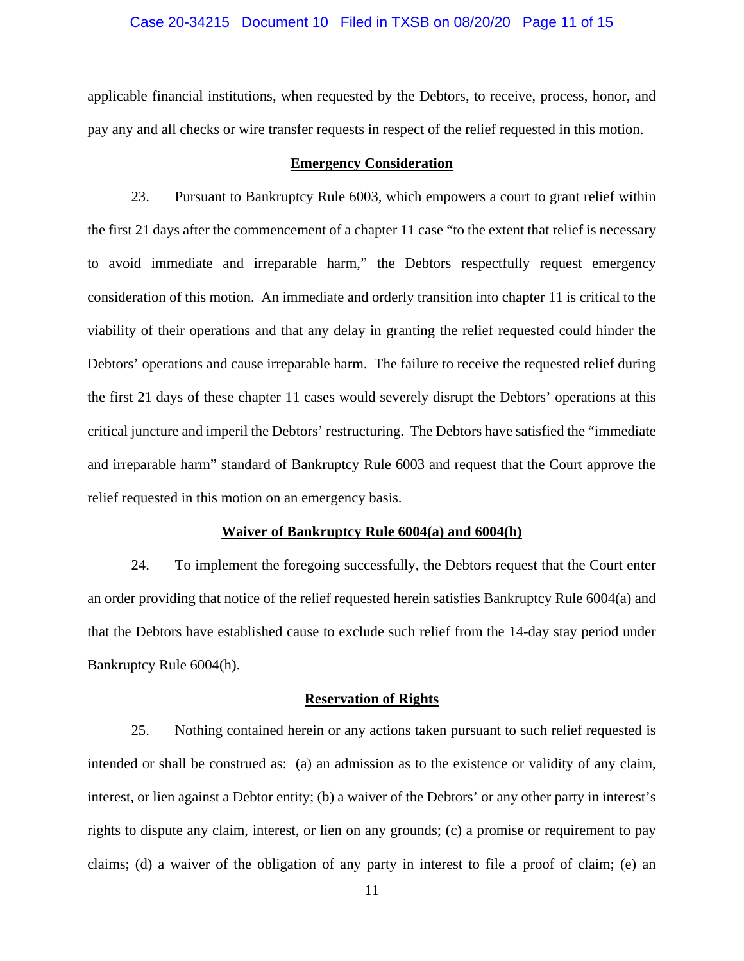## Case 20-34215 Document 10 Filed in TXSB on 08/20/20 Page 11 of 15

applicable financial institutions, when requested by the Debtors, to receive, process, honor, and pay any and all checks or wire transfer requests in respect of the relief requested in this motion.

#### **Emergency Consideration**

23. Pursuant to Bankruptcy Rule 6003, which empowers a court to grant relief within the first 21 days after the commencement of a chapter 11 case "to the extent that relief is necessary to avoid immediate and irreparable harm," the Debtors respectfully request emergency consideration of this motion. An immediate and orderly transition into chapter 11 is critical to the viability of their operations and that any delay in granting the relief requested could hinder the Debtors' operations and cause irreparable harm. The failure to receive the requested relief during the first 21 days of these chapter 11 cases would severely disrupt the Debtors' operations at this critical juncture and imperil the Debtors' restructuring. The Debtors have satisfied the "immediate and irreparable harm" standard of Bankruptcy Rule 6003 and request that the Court approve the relief requested in this motion on an emergency basis.

#### **Waiver of Bankruptcy Rule 6004(a) and 6004(h)**

24. To implement the foregoing successfully, the Debtors request that the Court enter an order providing that notice of the relief requested herein satisfies Bankruptcy Rule 6004(a) and that the Debtors have established cause to exclude such relief from the 14-day stay period under Bankruptcy Rule 6004(h).

#### **Reservation of Rights**

25. Nothing contained herein or any actions taken pursuant to such relief requested is intended or shall be construed as: (a) an admission as to the existence or validity of any claim, interest, or lien against a Debtor entity; (b) a waiver of the Debtors' or any other party in interest's rights to dispute any claim, interest, or lien on any grounds; (c) a promise or requirement to pay claims; (d) a waiver of the obligation of any party in interest to file a proof of claim; (e) an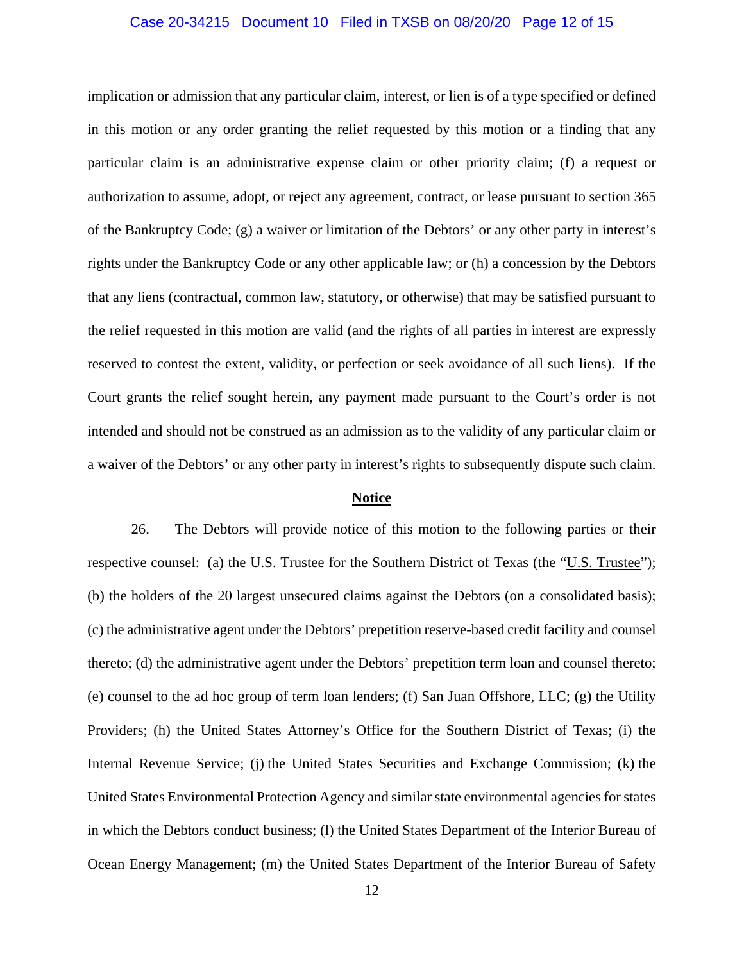#### Case 20-34215 Document 10 Filed in TXSB on 08/20/20 Page 12 of 15

implication or admission that any particular claim, interest, or lien is of a type specified or defined in this motion or any order granting the relief requested by this motion or a finding that any particular claim is an administrative expense claim or other priority claim; (f) a request or authorization to assume, adopt, or reject any agreement, contract, or lease pursuant to section 365 of the Bankruptcy Code; (g) a waiver or limitation of the Debtors' or any other party in interest's rights under the Bankruptcy Code or any other applicable law; or (h) a concession by the Debtors that any liens (contractual, common law, statutory, or otherwise) that may be satisfied pursuant to the relief requested in this motion are valid (and the rights of all parties in interest are expressly reserved to contest the extent, validity, or perfection or seek avoidance of all such liens). If the Court grants the relief sought herein, any payment made pursuant to the Court's order is not intended and should not be construed as an admission as to the validity of any particular claim or a waiver of the Debtors' or any other party in interest's rights to subsequently dispute such claim.

#### **Notice**

26. The Debtors will provide notice of this motion to the following parties or their respective counsel: (a) the U.S. Trustee for the Southern District of Texas (the "U.S. Trustee"); (b) the holders of the 20 largest unsecured claims against the Debtors (on a consolidated basis); (c) the administrative agent under the Debtors' prepetition reserve-based credit facility and counsel thereto; (d) the administrative agent under the Debtors' prepetition term loan and counsel thereto; (e) counsel to the ad hoc group of term loan lenders; (f) San Juan Offshore, LLC; (g) the Utility Providers; (h) the United States Attorney's Office for the Southern District of Texas; (i) the Internal Revenue Service; (j) the United States Securities and Exchange Commission; (k) the United States Environmental Protection Agency and similar state environmental agencies for states in which the Debtors conduct business; (l) the United States Department of the Interior Bureau of Ocean Energy Management; (m) the United States Department of the Interior Bureau of Safety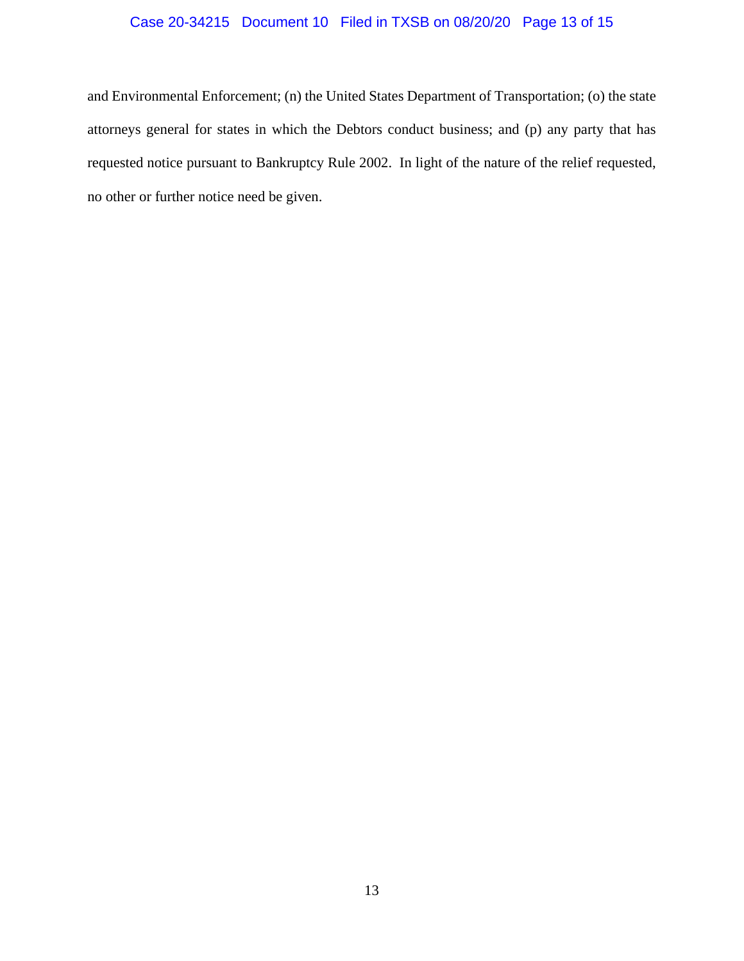## Case 20-34215 Document 10 Filed in TXSB on 08/20/20 Page 13 of 15

and Environmental Enforcement; (n) the United States Department of Transportation; (o) the state attorneys general for states in which the Debtors conduct business; and (p) any party that has requested notice pursuant to Bankruptcy Rule 2002. In light of the nature of the relief requested, no other or further notice need be given.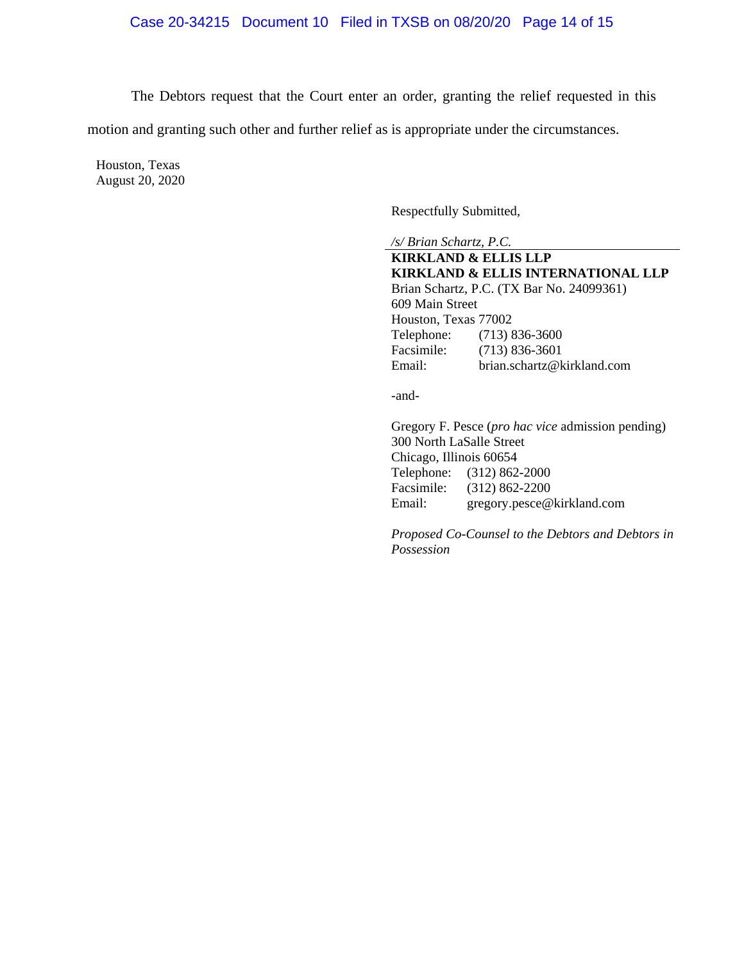The Debtors request that the Court enter an order, granting the relief requested in this

motion and granting such other and further relief as is appropriate under the circumstances.

Houston, Texas August 20, 2020

Respectfully Submitted,

*/s/ Brian Schartz, P.C.*  **KIRKLAND & ELLIS LLP KIRKLAND & ELLIS INTERNATIONAL LLP** Brian Schartz, P.C. (TX Bar No. 24099361) 609 Main Street Houston, Texas 77002 Telephone: (713) 836-3600 Facsimile: (713) 836-3601<br>Email: brian.schartz@k brian.schartz@kirkland.com

-and-

 Gregory F. Pesce (*pro hac vice* admission pending) 300 North LaSalle Street Chicago, Illinois 60654 Telephone: (312) 862-2000 Facsimile: (312) 862-2200 Email: gregory.pesce@kirkland.com

 *Proposed Co-Counsel to the Debtors and Debtors in Possession*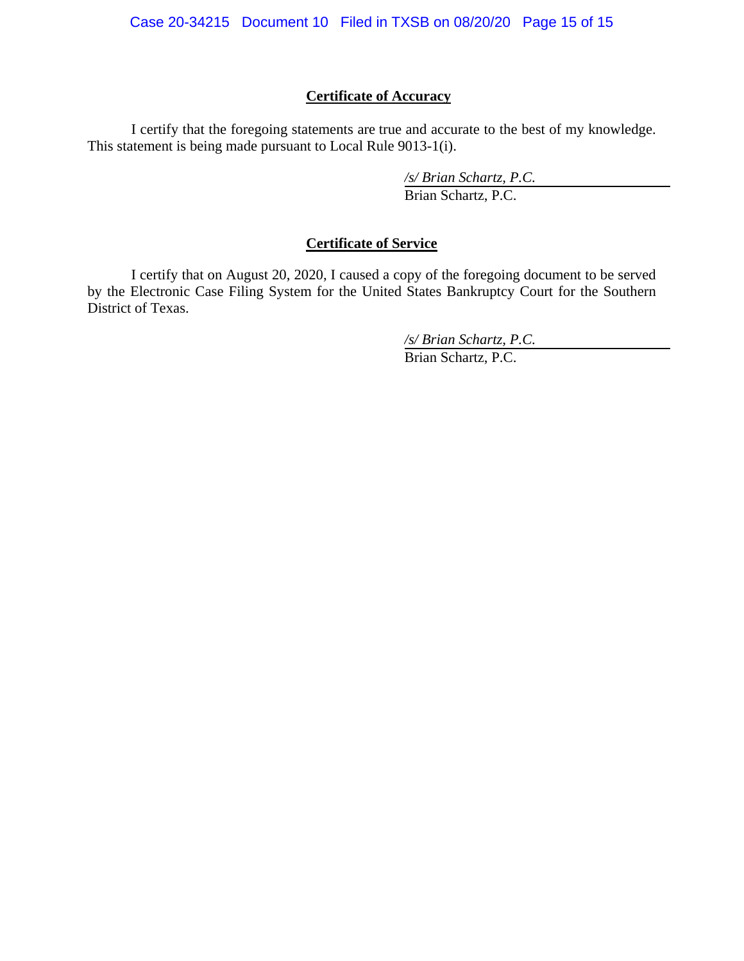## **Certificate of Accuracy**

I certify that the foregoing statements are true and accurate to the best of my knowledge. This statement is being made pursuant to Local Rule 9013-1(i).

> */s/ Brian Schartz, P.C.*  Brian Schartz, P.C.

# **Certificate of Service**

 I certify that on August 20, 2020, I caused a copy of the foregoing document to be served by the Electronic Case Filing System for the United States Bankruptcy Court for the Southern District of Texas.

*/s/ Brian Schartz, P.C.* 

Brian Schartz, P.C.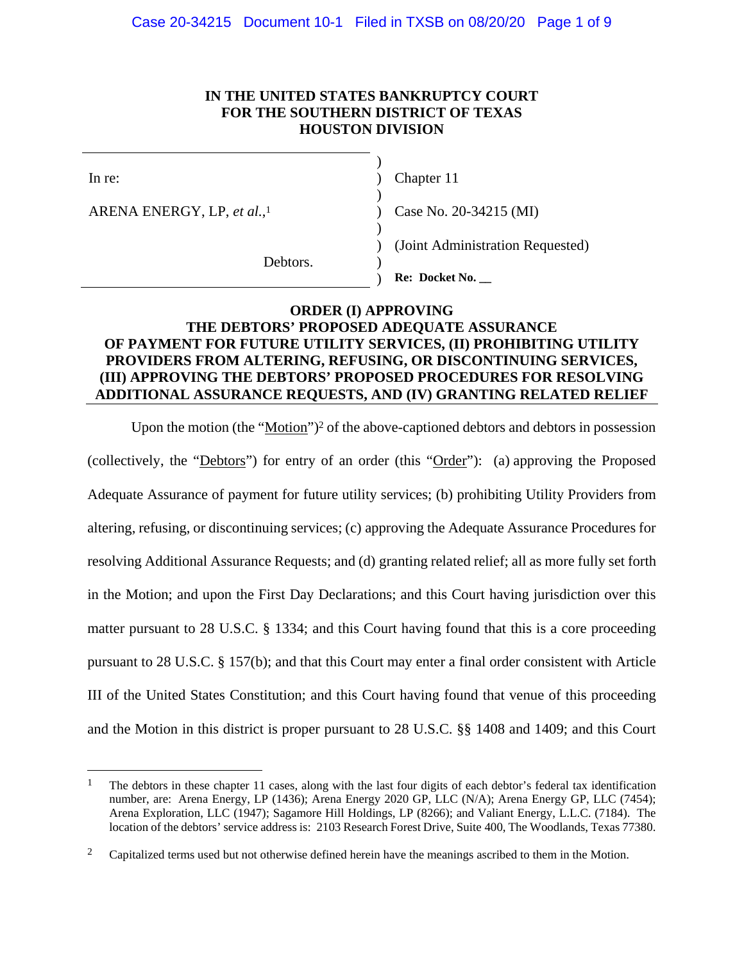## **IN THE UNITED STATES BANKRUPTCY COURT FOR THE SOUTHERN DISTRICT OF TEXAS HOUSTON DIVISION**

 $\overline{a}$ 

ARENA ENERGY, LP, *et al.*,

In re: (a) Chapter 11

Case No. 20-34215 (MI)

) (Joint Administration Requested)

Debtors.

 $)$ 

 $)$ 

 $)$ 

) **Re: Docket No. \_\_**

## **ORDER (I) APPROVING THE DEBTORS' PROPOSED ADEQUATE ASSURANCE OF PAYMENT FOR FUTURE UTILITY SERVICES, (II) PROHIBITING UTILITY PROVIDERS FROM ALTERING, REFUSING, OR DISCONTINUING SERVICES, (III) APPROVING THE DEBTORS' PROPOSED PROCEDURES FOR RESOLVING ADDITIONAL ASSURANCE REQUESTS, AND (IV) GRANTING RELATED RELIEF**

Upon the motion (the "Motion")<sup>2</sup> of the above-captioned debtors and debtors in possession (collectively, the "Debtors") for entry of an order (this "Order"): (a) approving the Proposed Adequate Assurance of payment for future utility services; (b) prohibiting Utility Providers from altering, refusing, or discontinuing services; (c) approving the Adequate Assurance Procedures for resolving Additional Assurance Requests; and (d) granting related relief; all as more fully set forth in the Motion; and upon the First Day Declarations; and this Court having jurisdiction over this matter pursuant to 28 U.S.C. § 1334; and this Court having found that this is a core proceeding pursuant to 28 U.S.C. § 157(b); and that this Court may enter a final order consistent with Article III of the United States Constitution; and this Court having found that venue of this proceeding and the Motion in this district is proper pursuant to 28 U.S.C. §§ 1408 and 1409; and this Court

<sup>&</sup>lt;sup>1</sup> The debtors in these chapter 11 cases, along with the last four digits of each debtor's federal tax identification number, are: Arena Energy, LP (1436); Arena Energy 2020 GP, LLC (N/A); Arena Energy GP, LLC (7454); Arena Exploration, LLC (1947); Sagamore Hill Holdings, LP (8266); and Valiant Energy, L.L.C. (7184). The location of the debtors' service address is: 2103 Research Forest Drive, Suite 400, The Woodlands, Texas 77380.

<sup>&</sup>lt;sup>2</sup> Capitalized terms used but not otherwise defined herein have the meanings ascribed to them in the Motion.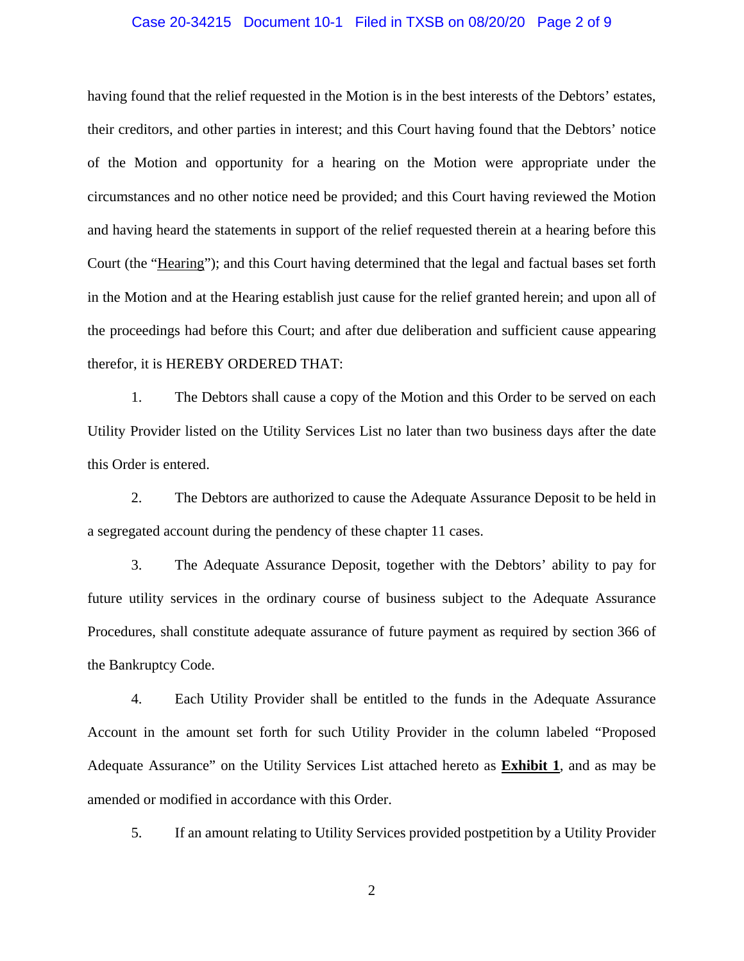#### Case 20-34215 Document 10-1 Filed in TXSB on 08/20/20 Page 2 of 9

having found that the relief requested in the Motion is in the best interests of the Debtors' estates, their creditors, and other parties in interest; and this Court having found that the Debtors' notice of the Motion and opportunity for a hearing on the Motion were appropriate under the circumstances and no other notice need be provided; and this Court having reviewed the Motion and having heard the statements in support of the relief requested therein at a hearing before this Court (the "Hearing"); and this Court having determined that the legal and factual bases set forth in the Motion and at the Hearing establish just cause for the relief granted herein; and upon all of the proceedings had before this Court; and after due deliberation and sufficient cause appearing therefor, it is HEREBY ORDERED THAT:

1. The Debtors shall cause a copy of the Motion and this Order to be served on each Utility Provider listed on the Utility Services List no later than two business days after the date this Order is entered.

2. The Debtors are authorized to cause the Adequate Assurance Deposit to be held in a segregated account during the pendency of these chapter 11 cases.

3. The Adequate Assurance Deposit, together with the Debtors' ability to pay for future utility services in the ordinary course of business subject to the Adequate Assurance Procedures, shall constitute adequate assurance of future payment as required by section 366 of the Bankruptcy Code.

4. Each Utility Provider shall be entitled to the funds in the Adequate Assurance Account in the amount set forth for such Utility Provider in the column labeled "Proposed Adequate Assurance" on the Utility Services List attached hereto as **Exhibit 1**, and as may be amended or modified in accordance with this Order.

5. If an amount relating to Utility Services provided postpetition by a Utility Provider

2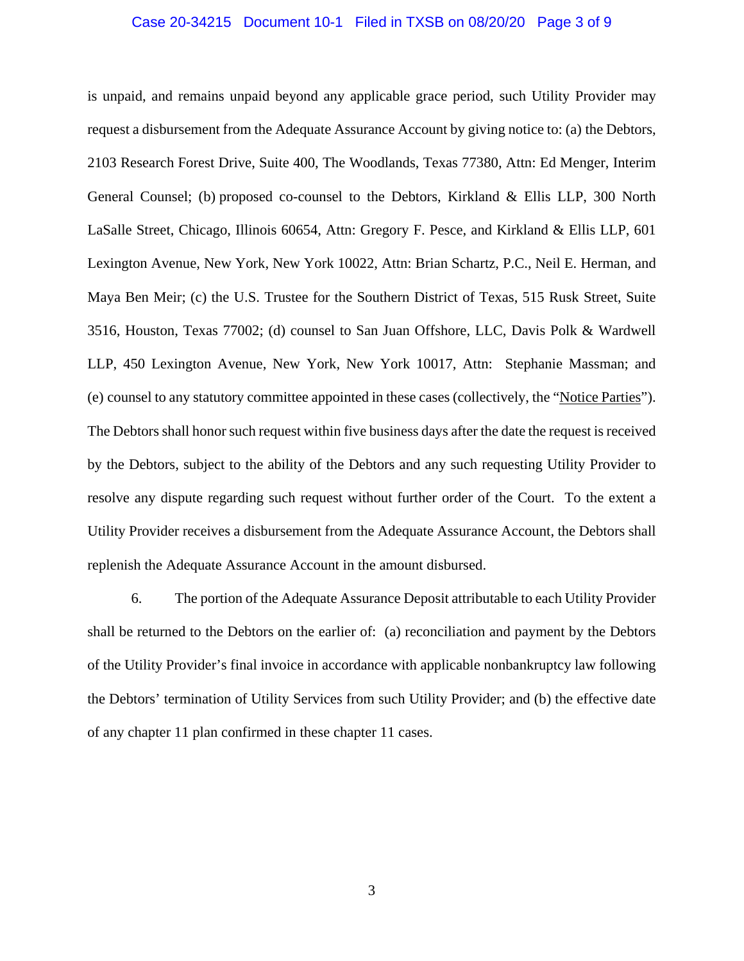#### Case 20-34215 Document 10-1 Filed in TXSB on 08/20/20 Page 3 of 9

is unpaid, and remains unpaid beyond any applicable grace period, such Utility Provider may request a disbursement from the Adequate Assurance Account by giving notice to: (a) the Debtors, 2103 Research Forest Drive, Suite 400, The Woodlands, Texas 77380, Attn: Ed Menger, Interim General Counsel; (b) proposed co-counsel to the Debtors, Kirkland & Ellis LLP, 300 North LaSalle Street, Chicago, Illinois 60654, Attn: Gregory F. Pesce, and Kirkland & Ellis LLP, 601 Lexington Avenue, New York, New York 10022, Attn: Brian Schartz, P.C., Neil E. Herman, and Maya Ben Meir; (c) the U.S. Trustee for the Southern District of Texas, 515 Rusk Street, Suite 3516, Houston, Texas 77002; (d) counsel to San Juan Offshore, LLC, Davis Polk & Wardwell LLP, 450 Lexington Avenue, New York, New York 10017, Attn: Stephanie Massman; and (e) counsel to any statutory committee appointed in these cases (collectively, the "Notice Parties"). The Debtors shall honor such request within five business days after the date the request is received by the Debtors, subject to the ability of the Debtors and any such requesting Utility Provider to resolve any dispute regarding such request without further order of the Court. To the extent a Utility Provider receives a disbursement from the Adequate Assurance Account, the Debtors shall replenish the Adequate Assurance Account in the amount disbursed.

6. The portion of the Adequate Assurance Deposit attributable to each Utility Provider shall be returned to the Debtors on the earlier of: (a) reconciliation and payment by the Debtors of the Utility Provider's final invoice in accordance with applicable nonbankruptcy law following the Debtors' termination of Utility Services from such Utility Provider; and (b) the effective date of any chapter 11 plan confirmed in these chapter 11 cases.

3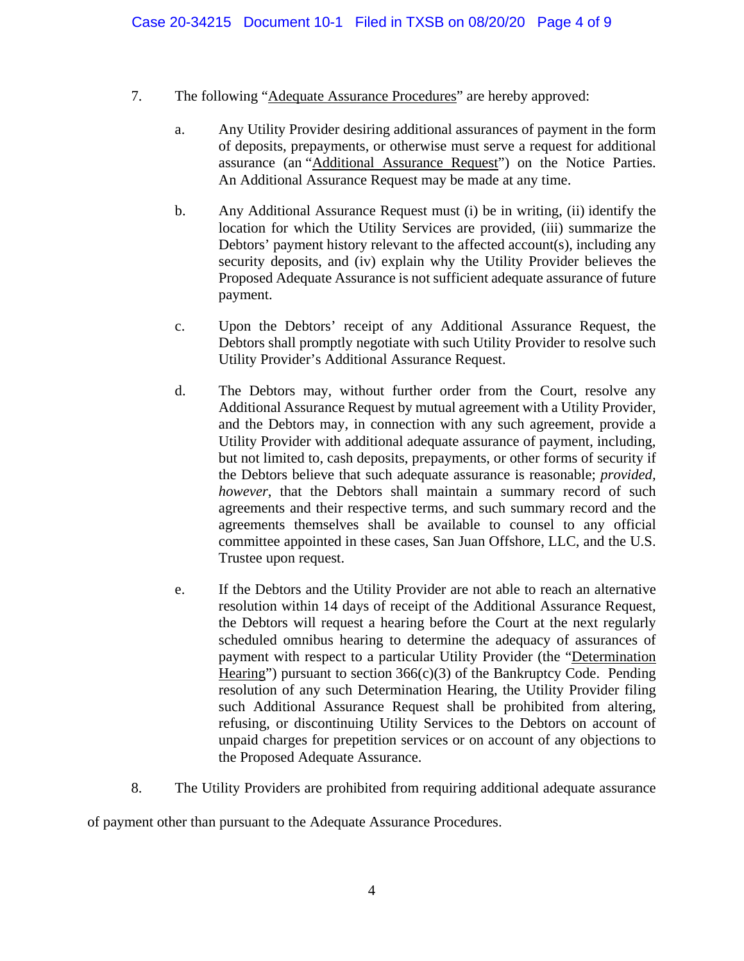- 7. The following "Adequate Assurance Procedures" are hereby approved:
	- a. Any Utility Provider desiring additional assurances of payment in the form of deposits, prepayments, or otherwise must serve a request for additional assurance (an "Additional Assurance Request") on the Notice Parties. An Additional Assurance Request may be made at any time.
	- b. Any Additional Assurance Request must (i) be in writing, (ii) identify the location for which the Utility Services are provided, (iii) summarize the Debtors' payment history relevant to the affected account(s), including any security deposits, and (iv) explain why the Utility Provider believes the Proposed Adequate Assurance is not sufficient adequate assurance of future payment.
	- c. Upon the Debtors' receipt of any Additional Assurance Request, the Debtors shall promptly negotiate with such Utility Provider to resolve such Utility Provider's Additional Assurance Request.
	- d. The Debtors may, without further order from the Court, resolve any Additional Assurance Request by mutual agreement with a Utility Provider, and the Debtors may, in connection with any such agreement, provide a Utility Provider with additional adequate assurance of payment, including, but not limited to, cash deposits, prepayments, or other forms of security if the Debtors believe that such adequate assurance is reasonable; *provided, however*, that the Debtors shall maintain a summary record of such agreements and their respective terms, and such summary record and the agreements themselves shall be available to counsel to any official committee appointed in these cases, San Juan Offshore, LLC, and the U.S. Trustee upon request.
	- e. If the Debtors and the Utility Provider are not able to reach an alternative resolution within 14 days of receipt of the Additional Assurance Request, the Debtors will request a hearing before the Court at the next regularly scheduled omnibus hearing to determine the adequacy of assurances of payment with respect to a particular Utility Provider (the "Determination Hearing") pursuant to section  $366(c)(3)$  of the Bankruptcy Code. Pending resolution of any such Determination Hearing, the Utility Provider filing such Additional Assurance Request shall be prohibited from altering, refusing, or discontinuing Utility Services to the Debtors on account of unpaid charges for prepetition services or on account of any objections to the Proposed Adequate Assurance.
- 8. The Utility Providers are prohibited from requiring additional adequate assurance

of payment other than pursuant to the Adequate Assurance Procedures.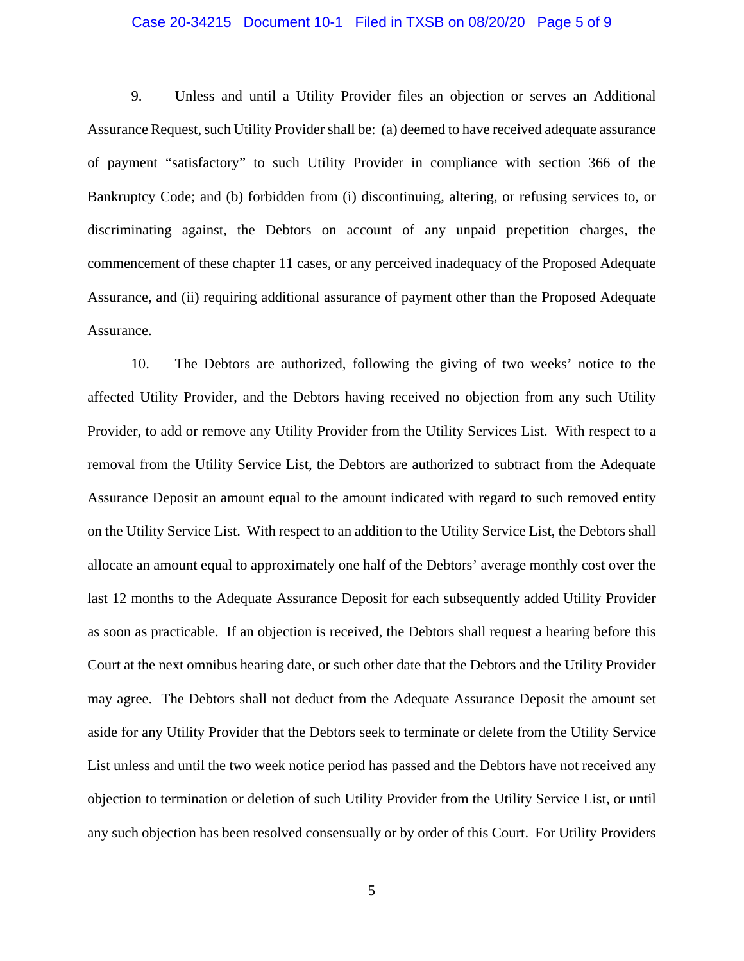#### Case 20-34215 Document 10-1 Filed in TXSB on 08/20/20 Page 5 of 9

9. Unless and until a Utility Provider files an objection or serves an Additional Assurance Request, such Utility Provider shall be: (a) deemed to have received adequate assurance of payment "satisfactory" to such Utility Provider in compliance with section 366 of the Bankruptcy Code; and (b) forbidden from (i) discontinuing, altering, or refusing services to, or discriminating against, the Debtors on account of any unpaid prepetition charges, the commencement of these chapter 11 cases, or any perceived inadequacy of the Proposed Adequate Assurance, and (ii) requiring additional assurance of payment other than the Proposed Adequate Assurance.

10. The Debtors are authorized, following the giving of two weeks' notice to the affected Utility Provider, and the Debtors having received no objection from any such Utility Provider, to add or remove any Utility Provider from the Utility Services List. With respect to a removal from the Utility Service List, the Debtors are authorized to subtract from the Adequate Assurance Deposit an amount equal to the amount indicated with regard to such removed entity on the Utility Service List. With respect to an addition to the Utility Service List, the Debtors shall allocate an amount equal to approximately one half of the Debtors' average monthly cost over the last 12 months to the Adequate Assurance Deposit for each subsequently added Utility Provider as soon as practicable. If an objection is received, the Debtors shall request a hearing before this Court at the next omnibus hearing date, or such other date that the Debtors and the Utility Provider may agree. The Debtors shall not deduct from the Adequate Assurance Deposit the amount set aside for any Utility Provider that the Debtors seek to terminate or delete from the Utility Service List unless and until the two week notice period has passed and the Debtors have not received any objection to termination or deletion of such Utility Provider from the Utility Service List, or until any such objection has been resolved consensually or by order of this Court. For Utility Providers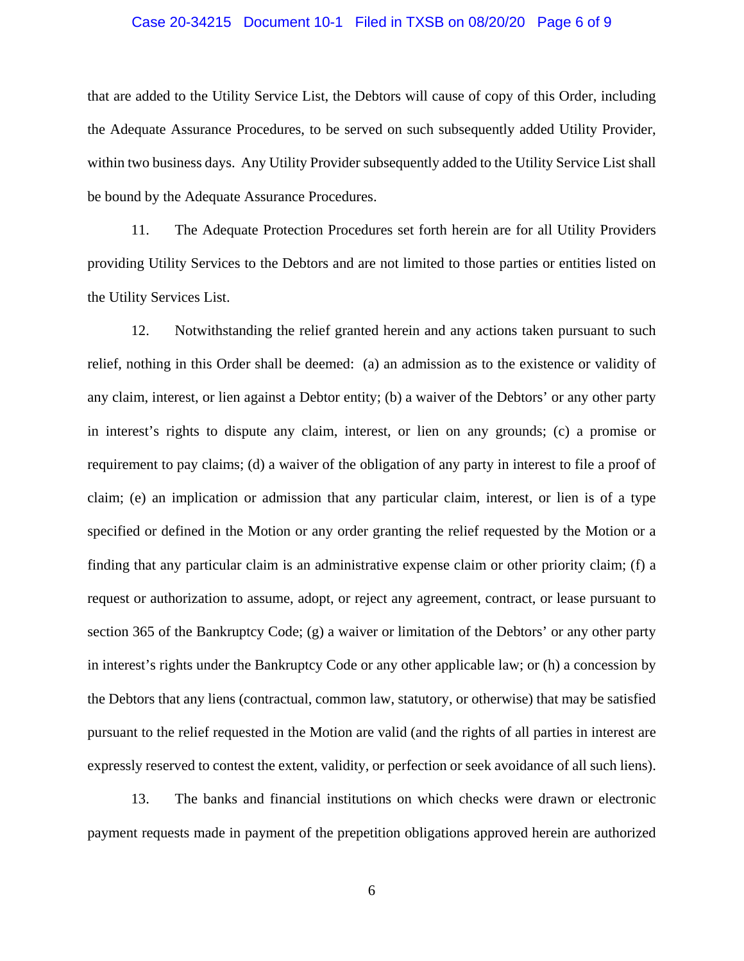#### Case 20-34215 Document 10-1 Filed in TXSB on 08/20/20 Page 6 of 9

that are added to the Utility Service List, the Debtors will cause of copy of this Order, including the Adequate Assurance Procedures, to be served on such subsequently added Utility Provider, within two business days. Any Utility Provider subsequently added to the Utility Service List shall be bound by the Adequate Assurance Procedures.

11. The Adequate Protection Procedures set forth herein are for all Utility Providers providing Utility Services to the Debtors and are not limited to those parties or entities listed on the Utility Services List.

12. Notwithstanding the relief granted herein and any actions taken pursuant to such relief, nothing in this Order shall be deemed: (a) an admission as to the existence or validity of any claim, interest, or lien against a Debtor entity; (b) a waiver of the Debtors' or any other party in interest's rights to dispute any claim, interest, or lien on any grounds; (c) a promise or requirement to pay claims; (d) a waiver of the obligation of any party in interest to file a proof of claim; (e) an implication or admission that any particular claim, interest, or lien is of a type specified or defined in the Motion or any order granting the relief requested by the Motion or a finding that any particular claim is an administrative expense claim or other priority claim; (f) a request or authorization to assume, adopt, or reject any agreement, contract, or lease pursuant to section 365 of the Bankruptcy Code; (g) a waiver or limitation of the Debtors' or any other party in interest's rights under the Bankruptcy Code or any other applicable law; or (h) a concession by the Debtors that any liens (contractual, common law, statutory, or otherwise) that may be satisfied pursuant to the relief requested in the Motion are valid (and the rights of all parties in interest are expressly reserved to contest the extent, validity, or perfection or seek avoidance of all such liens).

13. The banks and financial institutions on which checks were drawn or electronic payment requests made in payment of the prepetition obligations approved herein are authorized

6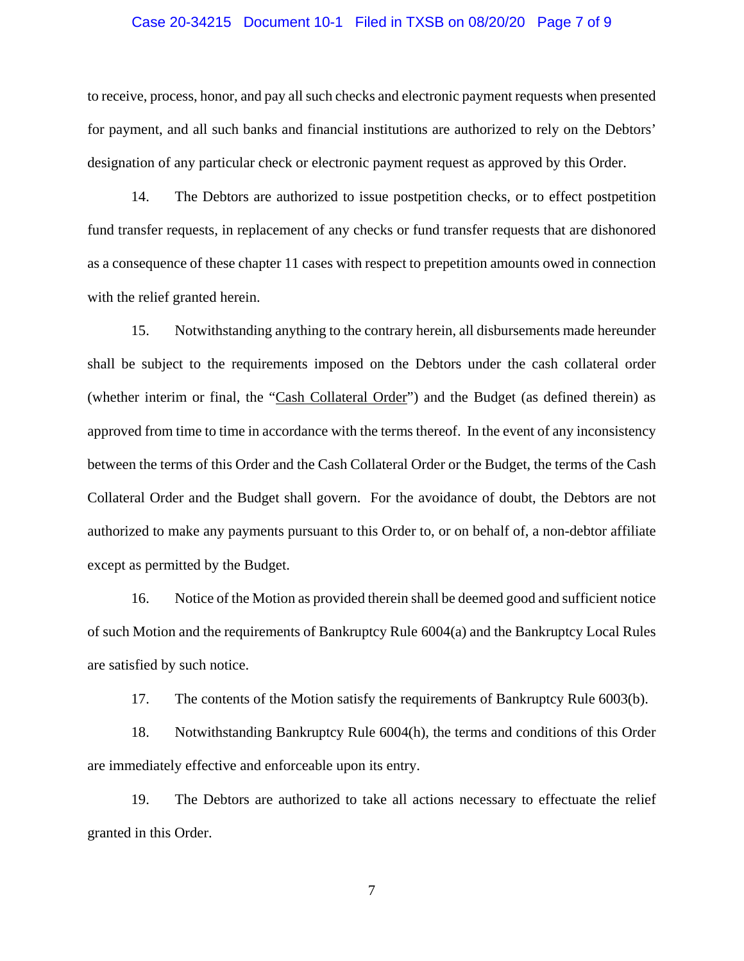#### Case 20-34215 Document 10-1 Filed in TXSB on 08/20/20 Page 7 of 9

to receive, process, honor, and pay all such checks and electronic payment requests when presented for payment, and all such banks and financial institutions are authorized to rely on the Debtors' designation of any particular check or electronic payment request as approved by this Order.

14. The Debtors are authorized to issue postpetition checks, or to effect postpetition fund transfer requests, in replacement of any checks or fund transfer requests that are dishonored as a consequence of these chapter 11 cases with respect to prepetition amounts owed in connection with the relief granted herein.

15. Notwithstanding anything to the contrary herein, all disbursements made hereunder shall be subject to the requirements imposed on the Debtors under the cash collateral order (whether interim or final, the "Cash Collateral Order") and the Budget (as defined therein) as approved from time to time in accordance with the terms thereof. In the event of any inconsistency between the terms of this Order and the Cash Collateral Order or the Budget, the terms of the Cash Collateral Order and the Budget shall govern. For the avoidance of doubt, the Debtors are not authorized to make any payments pursuant to this Order to, or on behalf of, a non-debtor affiliate except as permitted by the Budget.

16. Notice of the Motion as provided therein shall be deemed good and sufficient notice of such Motion and the requirements of Bankruptcy Rule 6004(a) and the Bankruptcy Local Rules are satisfied by such notice.

17. The contents of the Motion satisfy the requirements of Bankruptcy Rule 6003(b).

18. Notwithstanding Bankruptcy Rule 6004(h), the terms and conditions of this Order are immediately effective and enforceable upon its entry.

19. The Debtors are authorized to take all actions necessary to effectuate the relief granted in this Order.

7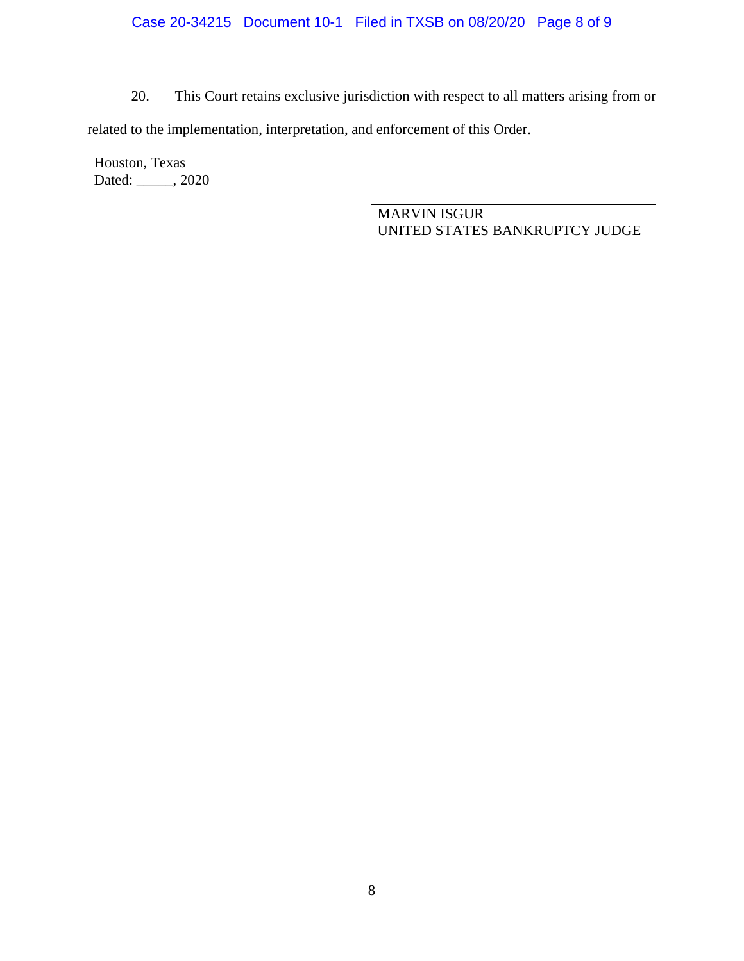## Case 20-34215 Document 10-1 Filed in TXSB on 08/20/20 Page 8 of 9

20. This Court retains exclusive jurisdiction with respect to all matters arising from or

related to the implementation, interpretation, and enforcement of this Order.

Houston, Texas Dated: \_\_\_\_\_, 2020

> MARVIN ISGUR UNITED STATES BANKRUPTCY JUDGE